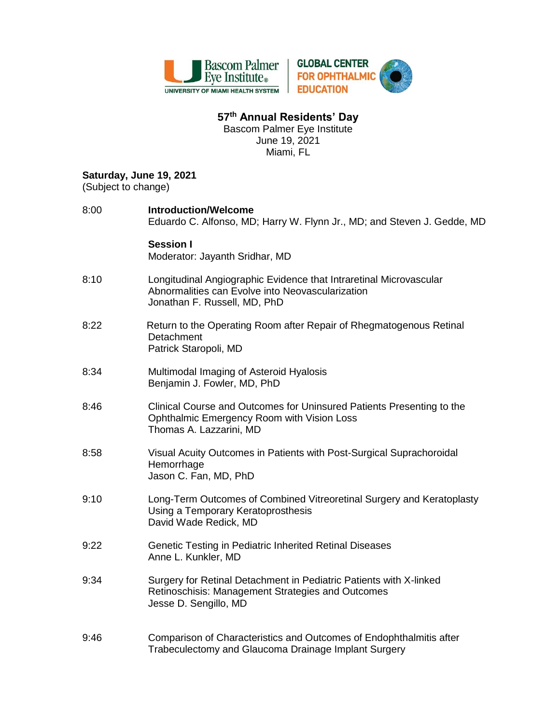

## **57 th Annual Residents' Day**

Bascom Palmer Eye Institute June 19, 2021 Miami, FL

## **Saturday, June 19, 2021**

(Subject to change)

| 8:00 | <b>Introduction/Welcome</b><br>Eduardo C. Alfonso, MD; Harry W. Flynn Jr., MD; and Steven J. Gedde, MD                                                 |
|------|--------------------------------------------------------------------------------------------------------------------------------------------------------|
|      | <b>Session I</b><br>Moderator: Jayanth Sridhar, MD                                                                                                     |
| 8:10 | Longitudinal Angiographic Evidence that Intraretinal Microvascular<br>Abnormalities can Evolve into Neovascularization<br>Jonathan F. Russell, MD, PhD |
| 8:22 | Return to the Operating Room after Repair of Rhegmatogenous Retinal<br>Detachment<br>Patrick Staropoli, MD                                             |
| 8:34 | Multimodal Imaging of Asteroid Hyalosis<br>Benjamin J. Fowler, MD, PhD                                                                                 |
| 8:46 | Clinical Course and Outcomes for Uninsured Patients Presenting to the<br>Ophthalmic Emergency Room with Vision Loss<br>Thomas A. Lazzarini, MD         |
| 8:58 | Visual Acuity Outcomes in Patients with Post-Surgical Suprachoroidal<br>Hemorrhage<br>Jason C. Fan, MD, PhD                                            |
| 9:10 | Long-Term Outcomes of Combined Vitreoretinal Surgery and Keratoplasty<br>Using a Temporary Keratoprosthesis<br>David Wade Redick, MD                   |
| 9:22 | Genetic Testing in Pediatric Inherited Retinal Diseases<br>Anne L. Kunkler, MD                                                                         |
| 9:34 | Surgery for Retinal Detachment in Pediatric Patients with X-linked<br>Retinoschisis: Management Strategies and Outcomes<br>Jesse D. Sengillo, MD       |
| 9:46 | Comparison of Characteristics and Outcomes of Endophthalmitis after<br>Trabeculectomy and Glaucoma Drainage Implant Surgery                            |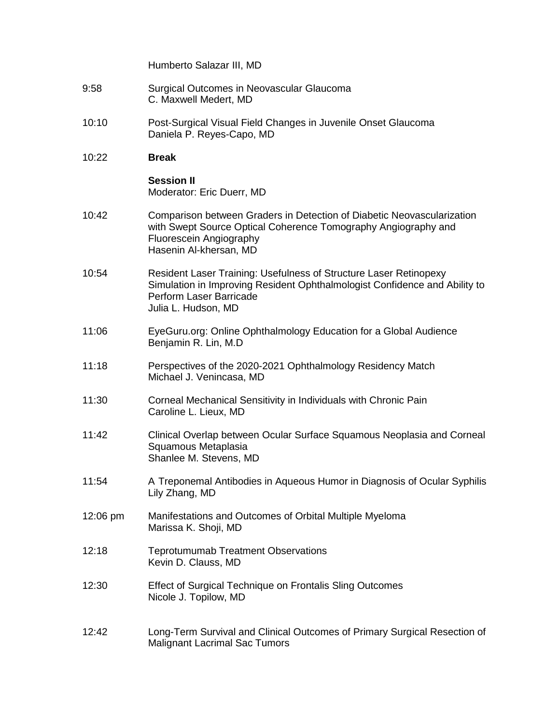Humberto Salazar III, MD

- 9:58 Surgical Outcomes in Neovascular Glaucoma C. Maxwell Medert, MD
- 10:10 Post-Surgical Visual Field Changes in Juvenile Onset Glaucoma Daniela P. Reyes-Capo, MD
- 10:22 **Break**

## **Session II** Moderator: Eric Duerr, MD

- 10:42 Comparison between Graders in Detection of Diabetic Neovascularization with Swept Source Optical Coherence Tomography Angiography and Fluorescein Angiography Hasenin Al-khersan, MD
- 10:54 Resident Laser Training: Usefulness of Structure Laser Retinopexy Simulation in Improving Resident Ophthalmologist Confidence and Ability to Perform Laser Barricade Julia L. Hudson, MD
- 11:06 EyeGuru.org: Online Ophthalmology Education for a Global Audience Benjamin R. Lin, M.D
- 11:18 Perspectives of the 2020-2021 Ophthalmology Residency Match Michael J. Venincasa, MD
- 11:30 Corneal Mechanical Sensitivity in Individuals with Chronic Pain Caroline L. Lieux, MD
- 11:42 Clinical Overlap between Ocular Surface Squamous Neoplasia and Corneal Squamous Metaplasia Shanlee M. Stevens, MD
- 11:54 A Treponemal Antibodies in Aqueous Humor in Diagnosis of Ocular Syphilis Lily Zhang, MD
- 12:06 pm Manifestations and Outcomes of Orbital Multiple Myeloma Marissa K. Shoji, MD
- 12:18 Teprotumumab Treatment Observations Kevin D. Clauss, MD
- 12:30 Effect of Surgical Technique on Frontalis Sling Outcomes Nicole J. Topilow, MD
- 12:42 Long-Term Survival and Clinical Outcomes of Primary Surgical Resection of Malignant Lacrimal Sac Tumors